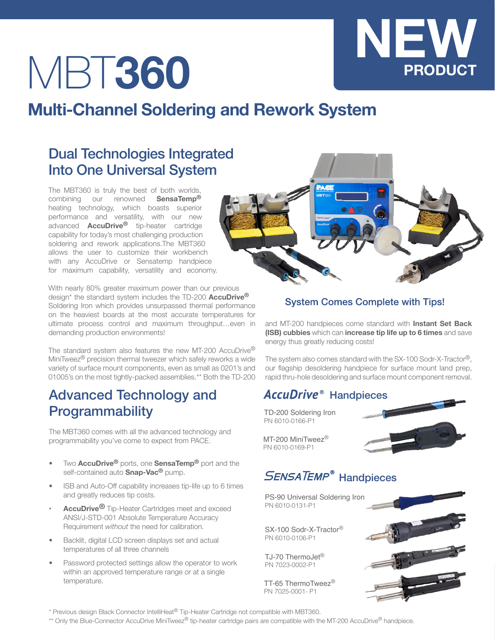# MBT**360**

# **Multi-Channel Soldering and Rework System**

### Dual Technologies Integrated Into One Universal System

The MBT360 is truly the best of both worlds, combining our renowned **SensaTemp®** heating technology, which boasts superior performance and versatility, with our new advanced **AccuDrive®** tip-heater cartridge capability for today's most challenging production soldering and rework applications.The MBT360 allows the user to customize their workbench with any AccuDrive or Sensatemp handpiece for maximum capability, versatility and economy.

With nearly 80% greater maximum power than our previous design\* the standard system includes the TD-200 **AccuDrive®** Soldering Iron which provides unsurpassed thermal performance on the heaviest boards at the most accurate temperatures for ultimate process control and maximum throughput…even in demanding production environments!

The standard system also features the new MT-200 AccuDrive® MiniTweez® precision thermal tweezer which safely reworks a wide variety of surface mount components, even as small as 0201's and 01005's on the most tightly-packed assemblies.\*\* Both the TD-200

#### Advanced Technology and **Programmability**

The MBT360 comes with all the advanced technology and programmability you've come to expect from PACE.

- Two **AccuDrive®** ports, one **SensaTemp®** port and the self-contained auto **Snap-Vac®** pump.
- ISB and Auto-Off capability increases tip-life up to 6 times and greatly reduces tip costs.
- **AccuDrive<sup>®</sup>** Tip-Heater Cartridges meet and exceed ANSI/J-STD-001 Absolute Temperature Accuracy Requirement *without* the need for calibration.
- Backlit, digital LCD screen displays set and actual temperatures of all three channels
- Password protected settings allow the operator to work within an approved temperature range or at a single temperature.



#### **System Comes Complete with Tips!**

and MT-200 handpieces come standard with **Instant Set Back (ISB) cubbies** which can **increase tip life up to 6 times** and save energy thus greatly reducing costs!

The system also comes standard with the SX-100 Sodr-X-Tractor®, our flagship desoldering handpiece for surface mount land prep, rapid thru-hole desoldering and surface mount component removal.

#### **AccuDrive<sup>®</sup> Handpieces**

TD-200 Soldering Iron PN 6010-0166-P1



**NEW**

**PRODUCT**

MT-200 MiniTweez<sup>®</sup> PN 6010-0169-P1

## **SENSATEMP<sup>®</sup> Handpieces**

PS-90 Universal Soldering Iron PN 6010-0131-P1

SX-100 Sodr-X-Tractor® PN 6010-0106-P1

TJ-70 ThermoJet® PN 7023-0002-P1

TT-65 ThermoTweez® PN 7025-0001- P1



\* Previous design Black Connector IntelliHeat® Tip-Heater Cartridge not compatible with MBT360.

\*\* Only the Blue-Connector AccuDrive MiniTweez® tip-heater cartridge pairs are compatible with the MT-200 AccuDrive® handpiece.